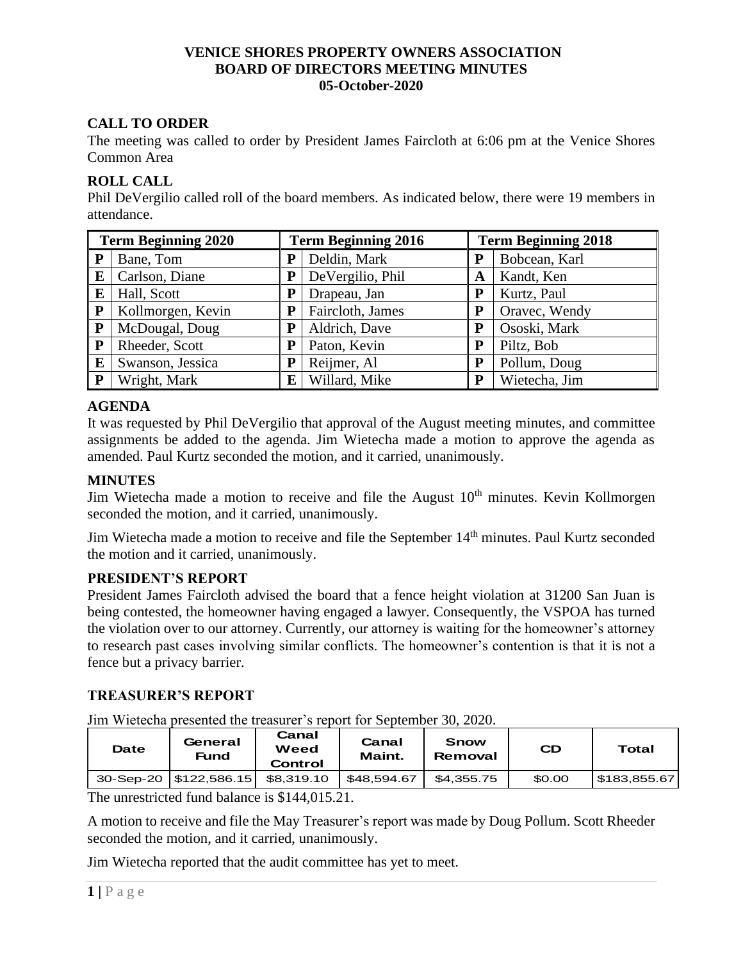#### **VENICE SHORES PROPERTY OWNERS ASSOCIATION BOARD OF DIRECTORS MEETING MINUTES 05-October-2020**

# **CALL TO ORDER**

The meeting was called to order by President James Faircloth at 6:06 pm at the Venice Shores Common Area

### **ROLL CALL**

Phil DeVergilio called roll of the board members. As indicated below, there were 19 members in attendance.

| <b>Term Beginning 2020</b> |                   | <b>Term Beginning 2016</b> |                  | <b>Term Beginning 2018</b> |               |  |
|----------------------------|-------------------|----------------------------|------------------|----------------------------|---------------|--|
| P                          | Bane, Tom         |                            | Deldin, Mark     | P                          | Bobcean, Karl |  |
| E                          | Carlson, Diane    |                            | DeVergilio, Phil | A                          | Kandt, Ken    |  |
| E                          | Hall, Scott       |                            | Drapeau, Jan     | P                          | Kurtz, Paul   |  |
| ${\bf P}$                  | Kollmorgen, Kevin | P                          | Faircloth, James | P                          | Oravec, Wendy |  |
| ${\bf P}$                  | McDougal, Doug    | P                          | Aldrich, Dave    | P                          | Ososki, Mark  |  |
| P                          | Rheeder, Scott    | $\mathbf P$                | Paton, Kevin     | P                          | Piltz, Bob    |  |
| E                          | Swanson, Jessica  | P                          | Reijmer, Al      | P                          | Pollum, Doug  |  |
| ${\bf P}$                  | Wright, Mark      | E                          | Willard, Mike    | P                          | Wietecha, Jim |  |

# **AGENDA**

It was requested by Phil DeVergilio that approval of the August meeting minutes, and committee assignments be added to the agenda. Jim Wietecha made a motion to approve the agenda as amended. Paul Kurtz seconded the motion, and it carried, unanimously.

### **MINUTES**

Jim Wietecha made a motion to receive and file the August  $10<sup>th</sup>$  minutes. Kevin Kollmorgen seconded the motion, and it carried, unanimously.

Jim Wietecha made a motion to receive and file the September 14<sup>th</sup> minutes. Paul Kurtz seconded the motion and it carried, unanimously.

### **PRESIDENT'S REPORT**

President James Faircloth advised the board that a fence height violation at 31200 San Juan is being contested, the homeowner having engaged a lawyer. Consequently, the VSPOA has turned the violation over to our attorney. Currently, our attorney is waiting for the homeowner's attorney to research past cases involving similar conflicts. The homeowner's contention is that it is not a fence but a privacy barrier.

### **TREASURER'S REPORT**

Jim Wietecha presented the treasurer's report for September 30, 2020.

| Date | General<br>Fund          | Canal<br>Weed<br>Control | Canal<br>Maint. | Snow<br>Removal | <b>CD</b> | Total       |  |
|------|--------------------------|--------------------------|-----------------|-----------------|-----------|-------------|--|
|      | 30-Sep-20   \$122,586.15 | \$8.319.10               | \$48.594.67     | \$4.355.75      | \$0.00    | 5183,855.67 |  |

The unrestricted fund balance is \$144,015.21.

A motion to receive and file the May Treasurer's report was made by Doug Pollum. Scott Rheeder seconded the motion, and it carried, unanimously.

Jim Wietecha reported that the audit committee has yet to meet.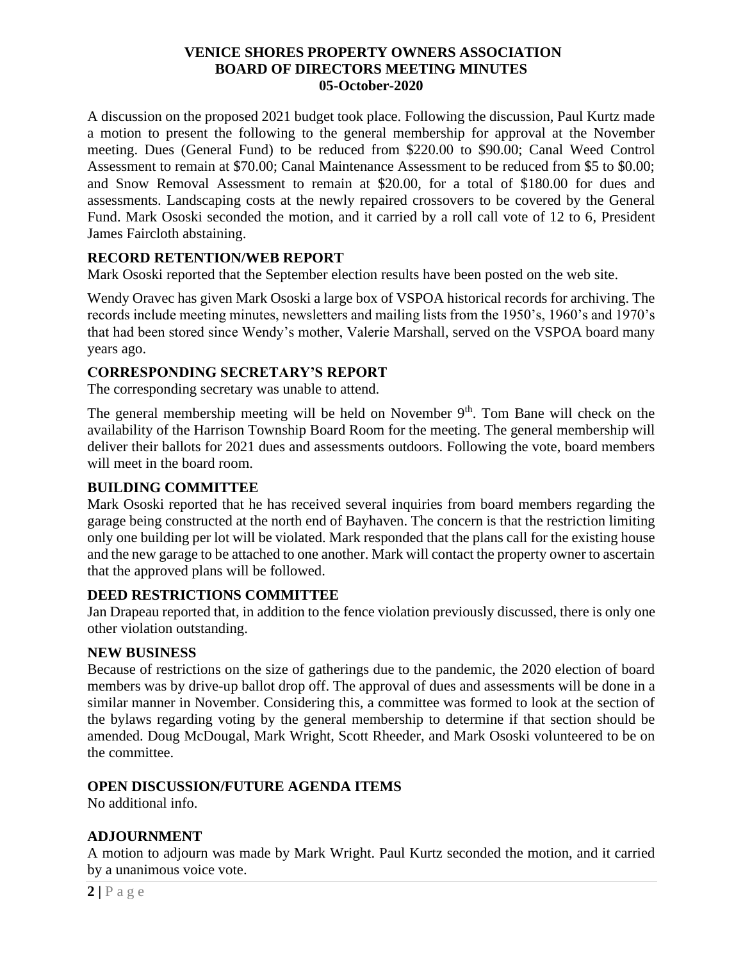#### **VENICE SHORES PROPERTY OWNERS ASSOCIATION BOARD OF DIRECTORS MEETING MINUTES 05-October-2020**

A discussion on the proposed 2021 budget took place. Following the discussion, Paul Kurtz made a motion to present the following to the general membership for approval at the November meeting. Dues (General Fund) to be reduced from \$220.00 to \$90.00; Canal Weed Control Assessment to remain at \$70.00; Canal Maintenance Assessment to be reduced from \$5 to \$0.00; and Snow Removal Assessment to remain at \$20.00, for a total of \$180.00 for dues and assessments. Landscaping costs at the newly repaired crossovers to be covered by the General Fund. Mark Ososki seconded the motion, and it carried by a roll call vote of 12 to 6, President James Faircloth abstaining.

### **RECORD RETENTION/WEB REPORT**

Mark Ososki reported that the September election results have been posted on the web site.

Wendy Oravec has given Mark Ososki a large box of VSPOA historical records for archiving. The records include meeting minutes, newsletters and mailing lists from the 1950's, 1960's and 1970's that had been stored since Wendy's mother, Valerie Marshall, served on the VSPOA board many years ago.

# **CORRESPONDING SECRETARY'S REPORT**

The corresponding secretary was unable to attend.

The general membership meeting will be held on November  $9<sup>th</sup>$ . Tom Bane will check on the availability of the Harrison Township Board Room for the meeting. The general membership will deliver their ballots for 2021 dues and assessments outdoors. Following the vote, board members will meet in the board room.

### **BUILDING COMMITTEE**

Mark Ososki reported that he has received several inquiries from board members regarding the garage being constructed at the north end of Bayhaven. The concern is that the restriction limiting only one building per lot will be violated. Mark responded that the plans call for the existing house and the new garage to be attached to one another. Mark will contact the property owner to ascertain that the approved plans will be followed.

### **DEED RESTRICTIONS COMMITTEE**

Jan Drapeau reported that, in addition to the fence violation previously discussed, there is only one other violation outstanding.

### **NEW BUSINESS**

Because of restrictions on the size of gatherings due to the pandemic, the 2020 election of board members was by drive-up ballot drop off. The approval of dues and assessments will be done in a similar manner in November. Considering this, a committee was formed to look at the section of the bylaws regarding voting by the general membership to determine if that section should be amended. Doug McDougal, Mark Wright, Scott Rheeder, and Mark Ososki volunteered to be on the committee.

# **OPEN DISCUSSION/FUTURE AGENDA ITEMS**

No additional info.

# **ADJOURNMENT**

A motion to adjourn was made by Mark Wright. Paul Kurtz seconded the motion, and it carried by a unanimous voice vote.